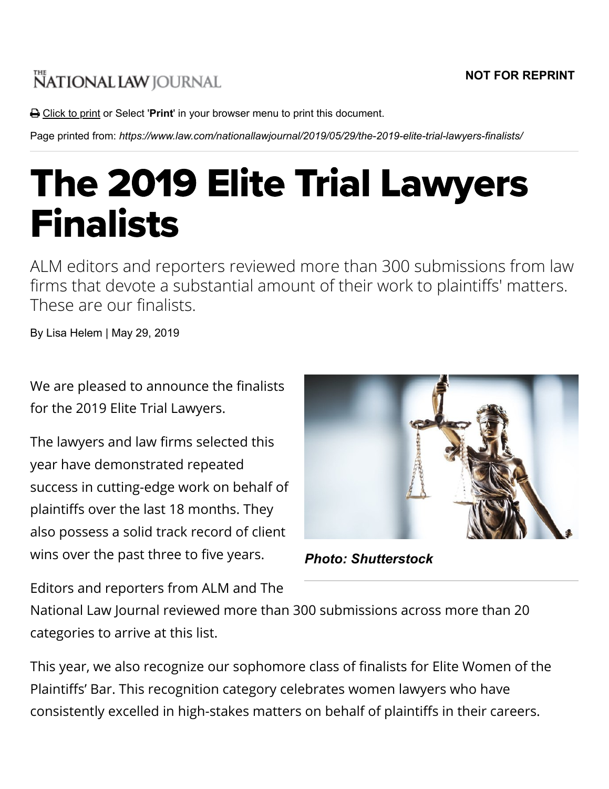## **NOT FOR REPRINT**

## **NATIONAL LAW JOURNAL**

Click to print or Select '**Print**' in your browser menu to print this document.

Page printed from: *https://www.law.com/nationallawjournal/2019/05/29/the-2019-elite-trial-lawyers-finalists/*

## The 2019 Elite Trial Lawyers Finalists

ALM editors and reporters reviewed more than 300 submissions from law firms that devote a substantial amount of their work to plaintiffs' matters. These are our finalists.

By Lisa Helem | May 29, 2019

We are pleased to announce the finalists for the 2019 Elite Trial Lawyers.

The lawyers and law firms selected this year have demonstrated repeated success in cutting-edge work on behalf of plaintiffs over the last 18 months. They also possess a solid track record of client wins over the past three to five years.



*Photo: Shutterstock*

Editors and reporters from ALM and The

National Law Journal reviewed more than 300 submissions across more than 20 categories to arrive at this list.

This year, we also recognize our sophomore class of finalists for Elite Women of the Plaintiffs' Bar. This recognition category celebrates women lawyers who have consistently excelled in high-stakes matters on behalf of plaintiffs in their careers.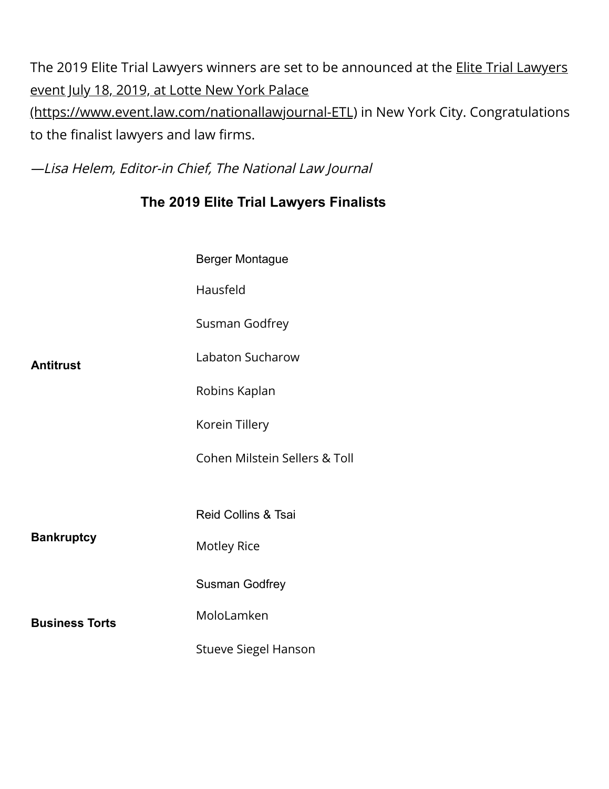The 2019 Elite Trial Lawyers winners are set to be announced at the **Elite Trial Lawyers** event July 18, 2019, at Lotte New York Palace

[\(https://www.event.law.com/nationallawjournal-ETL\) in New York City. Congratulations](https://www.event.law.com/nationallawjournal-ETL) to the finalist lawyers and law firms.

—Lisa Helem, Editor-in Chief, The National Law Journal

## **The 2019 Elite Trial Lawyers Finalists**

|                       | <b>Berger Montague</b>         |
|-----------------------|--------------------------------|
|                       | Hausfeld                       |
|                       | Susman Godfrey                 |
| <b>Antitrust</b>      | Labaton Sucharow               |
|                       | Robins Kaplan                  |
|                       | Korein Tillery                 |
|                       | Cohen Milstein Sellers & Toll  |
|                       |                                |
|                       | <b>Reid Collins &amp; Tsai</b> |
| <b>Bankruptcy</b>     | <b>Motley Rice</b>             |
|                       | <b>Susman Godfrey</b>          |
| <b>Business Torts</b> | MoloLamken                     |
|                       | <b>Stueve Siegel Hanson</b>    |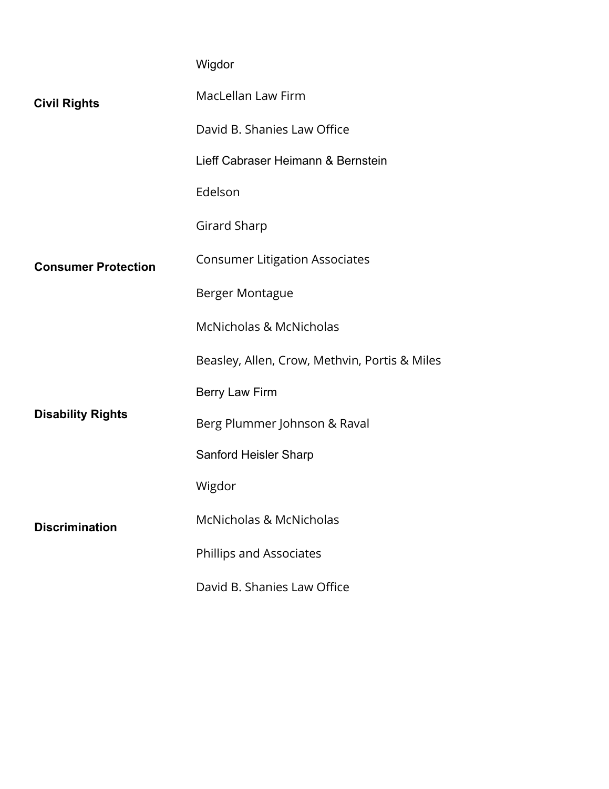| <b>Civil Rights</b>        | Wigdor                                        |
|----------------------------|-----------------------------------------------|
|                            | <b>MacLellan Law Firm</b>                     |
|                            | David B. Shanies Law Office                   |
|                            | Lieff Cabraser Heimann & Bernstein            |
| <b>Consumer Protection</b> | Edelson                                       |
|                            | Girard Sharp                                  |
|                            | <b>Consumer Litigation Associates</b>         |
|                            | Berger Montague                               |
|                            | <b>McNicholas &amp; McNicholas</b>            |
|                            | Beasley, Allen, Crow, Methvin, Portis & Miles |
| <b>Disability Rights</b>   | Berry Law Firm                                |
|                            | Berg Plummer Johnson & Raval                  |
|                            | <b>Sanford Heisler Sharp</b>                  |
| <b>Discrimination</b>      | Wigdor                                        |
|                            | <b>McNicholas &amp; McNicholas</b>            |
|                            | Phillips and Associates                       |
|                            | David B. Shanies Law Office                   |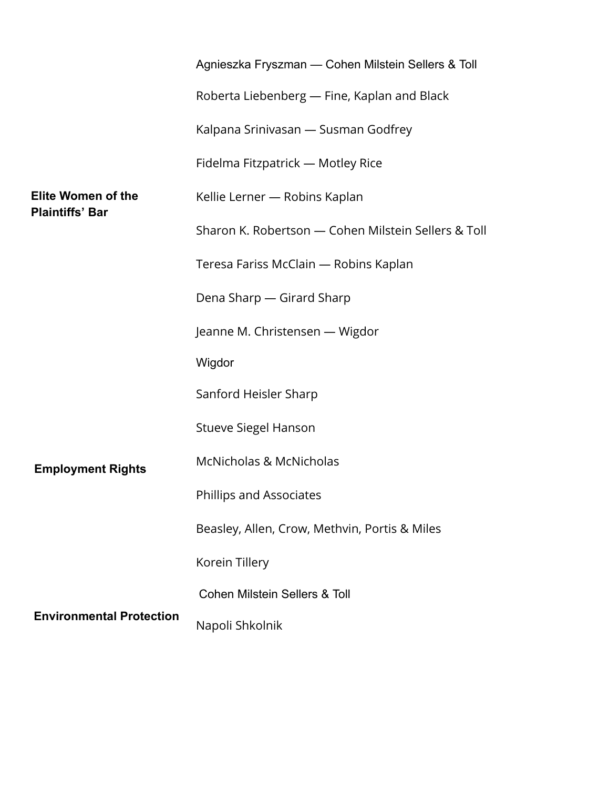|                                                     | Agnieszka Fryszman — Cohen Milstein Sellers & Toll  |
|-----------------------------------------------------|-----------------------------------------------------|
|                                                     | Roberta Liebenberg - Fine, Kaplan and Black         |
|                                                     | Kalpana Srinivasan — Susman Godfrey                 |
| <b>Elite Women of the</b><br><b>Plaintiffs' Bar</b> | Fidelma Fitzpatrick - Motley Rice                   |
|                                                     | Kellie Lerner — Robins Kaplan                       |
|                                                     | Sharon K. Robertson — Cohen Milstein Sellers & Toll |
|                                                     | Teresa Fariss McClain - Robins Kaplan               |
|                                                     | Dena Sharp — Girard Sharp                           |
|                                                     | Jeanne M. Christensen - Wigdor                      |
| <b>Employment Rights</b>                            | Wigdor                                              |
|                                                     | Sanford Heisler Sharp                               |
|                                                     | <b>Stueve Siegel Hanson</b>                         |
|                                                     | <b>McNicholas &amp; McNicholas</b>                  |
|                                                     | Phillips and Associates                             |
|                                                     | Beasley, Allen, Crow, Methvin, Portis & Miles       |
|                                                     | Korein Tillery                                      |
|                                                     | <b>Cohen Milstein Sellers &amp; Toll</b>            |
| <b>Environmental Protection</b>                     | Napoli Shkolnik                                     |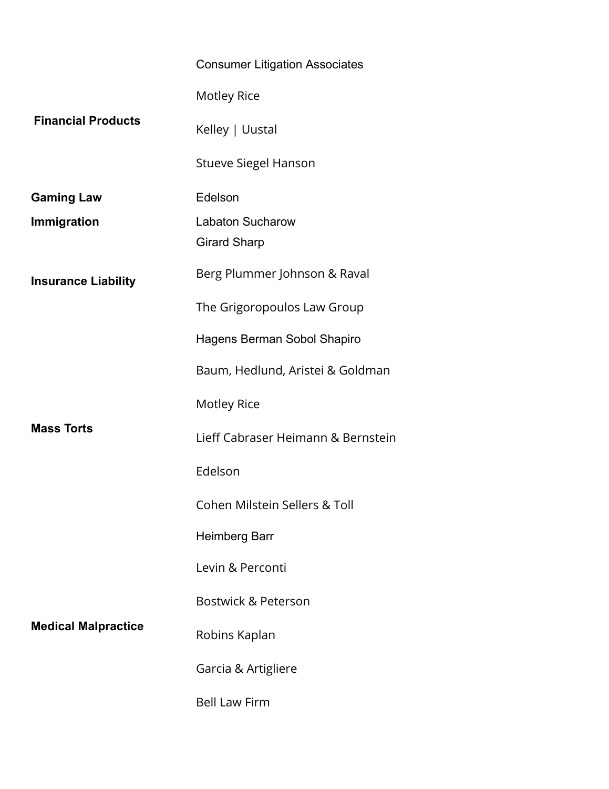|                            | <b>Consumer Litigation Associates</b> |
|----------------------------|---------------------------------------|
|                            | <b>Motley Rice</b>                    |
| <b>Financial Products</b>  | Kelley   Uustal                       |
|                            | <b>Stueve Siegel Hanson</b>           |
| <b>Gaming Law</b>          | Edelson                               |
| Immigration                | <b>Labaton Sucharow</b>               |
|                            | <b>Girard Sharp</b>                   |
| <b>Insurance Liability</b> | Berg Plummer Johnson & Raval          |
|                            | The Grigoropoulos Law Group           |
|                            | Hagens Berman Sobol Shapiro           |
|                            | Baum, Hedlund, Aristei & Goldman      |
|                            | <b>Motley Rice</b>                    |
| <b>Mass Torts</b>          | Lieff Cabraser Heimann & Bernstein    |
|                            | Edelson                               |
|                            | Cohen Milstein Sellers & Toll         |
|                            | <b>Heimberg Barr</b>                  |
|                            | Levin & Perconti                      |
|                            | Bostwick & Peterson                   |
| <b>Medical Malpractice</b> | Robins Kaplan                         |
|                            | Garcia & Artigliere                   |
|                            | <b>Bell Law Firm</b>                  |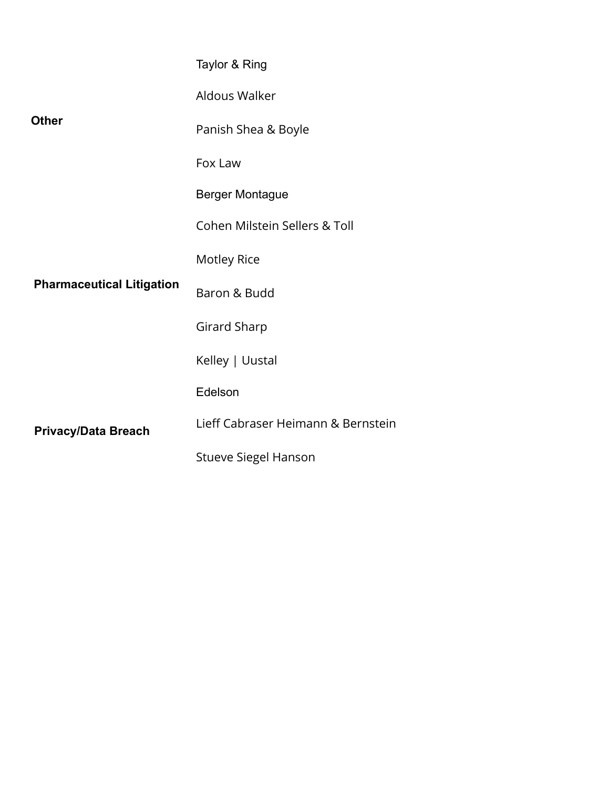| Other                            | Taylor & Ring                      |
|----------------------------------|------------------------------------|
|                                  | Aldous Walker                      |
|                                  | Panish Shea & Boyle                |
|                                  | Fox Law                            |
| <b>Pharmaceutical Litigation</b> | <b>Berger Montague</b>             |
|                                  | Cohen Milstein Sellers & Toll      |
|                                  | <b>Motley Rice</b>                 |
|                                  | Baron & Budd                       |
|                                  | Girard Sharp                       |
|                                  | Kelley   Uustal                    |
| <b>Privacy/Data Breach</b>       | Edelson                            |
|                                  | Lieff Cabraser Heimann & Bernstein |
|                                  | <b>Stueve Siegel Hanson</b>        |